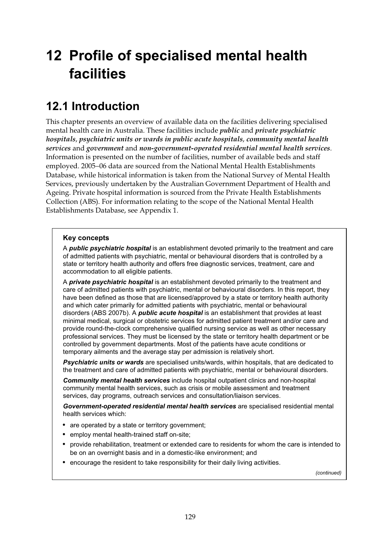# **12 Profile of specialised mental health facilities**

## **12.1 Introduction**

This chapter presents an overview of available data on the facilities delivering specialised mental health care in Australia. These facilities include *public* and *private psychiatric hospitals*, *psychiatric units or wards in public acute hospitals*, *community mental health services* and *government* and *non-government-operated residential mental health services*. Information is presented on the number of facilities, number of available beds and staff employed. 2005−06 data are sourced from the National Mental Health Establishments Database, while historical information is taken from the National Survey of Mental Health Services, previously undertaken by the Australian Government Department of Health and Ageing. Private hospital information is sourced from the Private Health Establishments Collection (ABS). For information relating to the scope of the National Mental Health Establishments Database, see Appendix 1.

### **Key concepts**

A *public psychiatric hospital* is an establishment devoted primarily to the treatment and care of admitted patients with psychiatric, mental or behavioural disorders that is controlled by a state or territory health authority and offers free diagnostic services, treatment, care and accommodation to all eligible patients.

A *private psychiatric hospital* is an establishment devoted primarily to the treatment and care of admitted patients with psychiatric, mental or behavioural disorders. In this report, they have been defined as those that are licensed/approved by a state or territory health authority and which cater primarily for admitted patients with psychiatric, mental or behavioural disorders (ABS 2007b). A *public acute hospital* is an establishment that provides at least minimal medical, surgical or obstetric services for admitted patient treatment and/or care and provide round-the-clock comprehensive qualified nursing service as well as other necessary professional services. They must be licensed by the state or territory health department or be controlled by government departments. Most of the patients have acute conditions or temporary ailments and the average stay per admission is relatively short.

*Psychiatric units or wards* are specialised units/wards, within hospitals, that are dedicated to the treatment and care of admitted patients with psychiatric, mental or behavioural disorders.

*Community mental health services* include hospital outpatient clinics and non-hospital community mental health services, such as crisis or mobile assessment and treatment services, day programs, outreach services and consultation/liaison services.

*Government-operated residential mental health services* are specialised residential mental health services which:

- are operated by a state or territory government:
- employ mental health-trained staff on-site;
- provide rehabilitation, treatment or extended care to residents for whom the care is intended to be on an overnight basis and in a domestic-like environment; and
- encourage the resident to take responsibility for their daily living activities.

 *(continued)*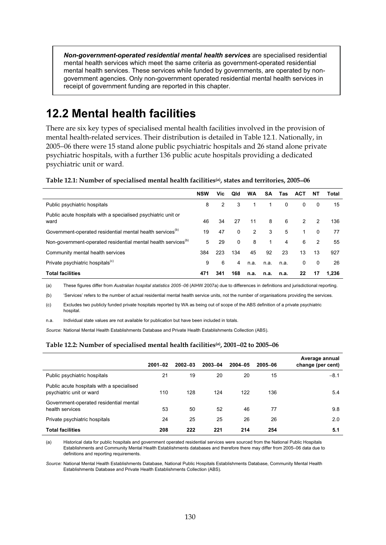*Non-government-operated residential mental health services* are specialised residential mental health services which meet the same criteria as government-operated residential mental health services. These services while funded by governments, are operated by nongovernment agencies. Only non-government operated residential mental health services in receipt of government funding are reported in this chapter.

## **12.2 Mental health facilities**

There are six key types of specialised mental health facilities involved in the provision of mental health-related services. Their distribution is detailed in Table 12.1. Nationally, in 2005−06 there were 15 stand alone public psychiatric hospitals and 26 stand alone private psychiatric hospitals, with a further 136 public acute hospitals providing a dedicated psychiatric unit or ward.

**Table 12.1: Number of specialised mental health facilities(a), states and territories, 2005**−**06** 

|                                                                           | <b>NSW</b> | Vic | Qld          | <b>WA</b> | <b>SA</b>      | Tas  | <b>ACT</b>    | NT            | Total |
|---------------------------------------------------------------------------|------------|-----|--------------|-----------|----------------|------|---------------|---------------|-------|
| Public psychiatric hospitals                                              | 8          | 2   | 3            |           |                | 0    | 0             | $\mathbf{0}$  | 15    |
| Public acute hospitals with a specialised psychiatric unit or<br>ward     | 46         | 34  | 27           | 11        | 8              | 6    | $\mathcal{P}$ | $\mathcal{P}$ | 136   |
| Government-operated residential mental health services <sup>(0)</sup>     | 19         | 47  | $\mathbf{0}$ | 2         | 3              | 5    |               | $\Omega$      | 77    |
| Non-government-operated residential mental health services <sup>(b)</sup> | 5          | 29  | $\mathbf{0}$ | 8         | $\overline{1}$ | 4    | 6             | $\mathcal{P}$ | 55    |
| Community mental health services                                          | 384        | 223 | 134          | 45        | 92             | 23   | 13            | 13            | 927   |
| Private psychiatric hospitals <sup>(c)</sup>                              | 9          | 6   | 4            | n.a.      | n.a.           | n.a. | 0             | $\mathbf{0}$  | 26    |
| <b>Total facilities</b>                                                   | 471        | 341 | 168          | n.a.      | n.a.           | n.a. | 22            | 17            | 1.236 |

(a) These figures differ from *Australian hospital statistics 2005*−*06* (AIHW 2007a) due to differences in definitions and jurisdictional reporting.

(b) 'Services' refers to the number of actual residential mental health service units, not the number of organisations providing the services.

(c) Excludes two publicly funded private hospitals reported by WA as being out of scope of the ABS definition of a private psychiatric hospital.

n.a. Individual state values are not available for publication but have been included in totals.

*Source:* National Mental Health Establishments Database and Private Health Establishments Collection (ABS).

#### **Table 12.2: Number of specialised mental health facilities(a), 2001**−**02 to 2005**−**06**

|                                                                       | $2001 - 02$ | $2002 - 03$ | 2003-04 | 2004-05 | 2005-06 | Average annual<br>change (per cent) |
|-----------------------------------------------------------------------|-------------|-------------|---------|---------|---------|-------------------------------------|
| Public psychiatric hospitals                                          | 21          | 19          | 20      | 20      | 15      | $-8.1$                              |
| Public acute hospitals with a specialised<br>psychiatric unit or ward | 110         | 128         | 124     | 122     | 136     | 5.4                                 |
| Government-operated residential mental<br>health services             | 53          | 50          | 52      | 46      | 77      | 9.8                                 |
| Private psychiatric hospitals                                         | 24          | 25          | 25      | 26      | 26      | 2.0                                 |
| <b>Total facilities</b>                                               | 208         | 222         | 221     | 214     | 254     | 5.1                                 |

(a) Historical data for public hospitals and government operated residential services were sourced from the National Public Hospitals Establishments and Community Mental Health Establishments databases and therefore there may differ from 2005–06 data due to definitions and reporting requirements.

*Source:* National Mental Health Establishments Database, National Public Hospitals Establishments Database, Community Mental Health Establishments Database and Private Health Establishments Collection (ABS).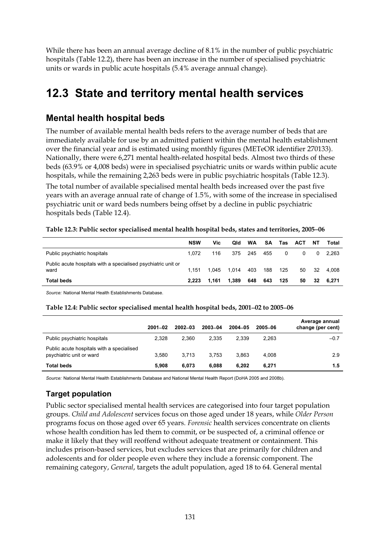While there has been an annual average decline of 8.1% in the number of public psychiatric hospitals (Table 12.2), there has been an increase in the number of specialised psychiatric units or wards in public acute hospitals (5.4% average annual change).

## **12.3 State and territory mental health services**

## **Mental health hospital beds**

The number of available mental health beds refers to the average number of beds that are immediately available for use by an admitted patient within the mental health establishment over the financial year and is estimated using monthly figures (METeOR identifier 270133). Nationally, there were 6,271 mental health-related hospital beds. Almost two thirds of these beds (63.9% or 4,008 beds) were in specialised psychiatric units or wards within public acute hospitals, while the remaining 2,263 beds were in public psychiatric hospitals (Table 12.3).

The total number of available specialised mental health beds increased over the past five years with an average annual rate of change of 1.5%, with some of the increase in specialised psychiatric unit or ward beds numbers being offset by a decline in public psychiatric hospitals beds (Table 12.4).

|                                                                       | <b>NSW</b> | Vic   | Qld   | WA      | SA. | Tas      | ACT      | NΤ | Total |
|-----------------------------------------------------------------------|------------|-------|-------|---------|-----|----------|----------|----|-------|
| Public psychiatric hospitals                                          | 1.072      | 116   |       | 375 245 | 455 | $\Omega$ | $\Omega$ | 0  | 2.263 |
| Public acute hospitals with a specialised psychiatric unit or<br>ward | 1.151      | 1.045 | 1.014 | 403     | 188 | 125      | 50       | 32 | 4.008 |
| <b>Total beds</b>                                                     | 2.223      | 1.161 | 1,389 | 648     | 643 | 125      | 50       | 32 | 6.271 |

#### **Table 12.3: Public sector specialised mental health hospital beds, states and territories, 2005**−**06**

*Source:* National Mental Health Establishments Database.

#### **Table 12.4: Public sector specialised mental health hospital beds, 2001**−**02 to 2005**−**06**

|                                                                       | $2001 - 02$ | $2002 - 03$ | 2003-04 | $2004 - 05$ | 2005-06 | Average annual<br>change (per cent) |
|-----------------------------------------------------------------------|-------------|-------------|---------|-------------|---------|-------------------------------------|
| Public psychiatric hospitals                                          | 2.328       | 2.360       | 2.335   | 2.339       | 2.263   | $-0.7$                              |
| Public acute hospitals with a specialised<br>psychiatric unit or ward | 3.580       | 3.713       | 3.753   | 3.863       | 4.008   | 2.9                                 |
| <b>Total beds</b>                                                     | 5.908       | 6.073       | 6.088   | 6.202       | 6.271   | 1.5                                 |

*Source:* National Mental Health Establishments Database and National Mental Health Report (DoHA 2005 and 2008b).

## **Target population**

Public sector specialised mental health services are categorised into four target population groups. *Child and Adolescent* services focus on those aged under 18 years, while *Older Person* programs focus on those aged over 65 years. *Forensic* health services concentrate on clients whose health condition has led them to commit, or be suspected of, a criminal offence or make it likely that they will reoffend without adequate treatment or containment. This includes prison-based services, but excludes services that are primarily for children and adolescents and for older people even where they include a forensic component. The remaining category, *General*, targets the adult population, aged 18 to 64. General mental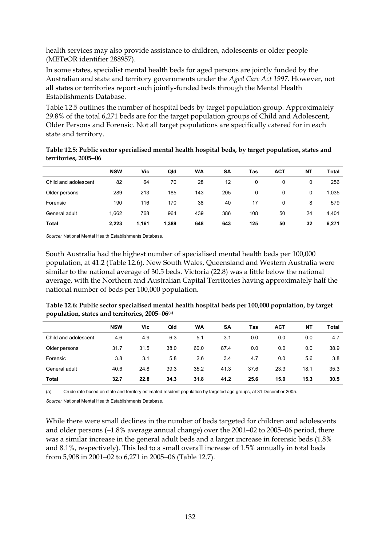health services may also provide assistance to children, adolescents or older people (METeOR identifier 288957).

In some states, specialist mental health beds for aged persons are jointly funded by the Australian and state and territory governments under the *Aged Care Act 1997*. However, not all states or territories report such jointly-funded beds through the Mental Health Establishments Database.

Table 12.5 outlines the number of hospital beds by target population group. Approximately 29.8% of the total 6,271 beds are for the target population groups of Child and Adolescent, Older Persons and Forensic. Not all target populations are specifically catered for in each state and territory.

| Table 12.5: Public sector specialised mental health hospital beds, by target population, states and |  |
|-----------------------------------------------------------------------------------------------------|--|
| territories, 2005–06                                                                                |  |

|                      | <b>NSW</b> | Vic   | Qld   | WA  | <b>SA</b> | Tas | <b>ACT</b> | <b>NT</b> | Total |
|----------------------|------------|-------|-------|-----|-----------|-----|------------|-----------|-------|
| Child and adolescent | 82         | 64    | 70    | 28  | 12        | 0   | 0          | 0         | 256   |
| Older persons        | 289        | 213   | 185   | 143 | 205       | 0   | 0          | 0         | 1,035 |
| Forensic             | 190        | 116   | 170   | 38  | 40        | 17  | 0          | 8         | 579   |
| General adult        | 1,662      | 768   | 964   | 439 | 386       | 108 | 50         | 24        | 4,401 |
| Total                | 2,223      | 1,161 | 1,389 | 648 | 643       | 125 | 50         | 32        | 6,271 |

*Source:* National Mental Health Establishments Database.

South Australia had the highest number of specialised mental health beds per 100,000 population, at 41.2 (Table 12.6). New South Wales, Queensland and Western Australia were similar to the national average of 30.5 beds. Victoria (22.8) was a little below the national average, with the Northern and Australian Capital Territories having approximately half the national number of beds per 100,000 population.

| Table 12.6: Public sector specialised mental health hospital beds per 100,000 population, by target |  |
|-----------------------------------------------------------------------------------------------------|--|
| population, states and territories, 2005–06(a)                                                      |  |

|                      | <b>NSW</b> | Vic  | Qld  | WA   | <b>SA</b> | Tas  | <b>ACT</b> | NΤ   | Total |
|----------------------|------------|------|------|------|-----------|------|------------|------|-------|
| Child and adolescent | 4.6        | 4.9  | 6.3  | 5.1  | 3.1       | 0.0  | 0.0        | 0.0  | 4.7   |
| Older persons        | 31.7       | 31.5 | 38.0 | 60.0 | 87.4      | 0.0  | 0.0        | 0.0  | 38.9  |
| Forensic             | 3.8        | 3.1  | 5.8  | 2.6  | 3.4       | 4.7  | 0.0        | 5.6  | 3.8   |
| General adult        | 40.6       | 24.8 | 39.3 | 35.2 | 41.3      | 37.6 | 23.3       | 18.1 | 35.3  |
| Total                | 32.7       | 22.8 | 34.3 | 31.8 | 41.2      | 25.6 | 15.0       | 15.3 | 30.5  |

(a) Crude rate based on state and territory estimated resident population by targeted age groups, at 31 December 2005.

*Source:* National Mental Health Establishments Database.

While there were small declines in the number of beds targeted for children and adolescents and older persons (−1.8% average annual change) over the 2001−02 to 2005−06 period, there was a similar increase in the general adult beds and a larger increase in forensic beds (1.8% and 8.1%, respectively). This led to a small overall increase of 1.5% annually in total beds from 5,908 in 2001−02 to 6,271 in 2005−06 (Table 12.7).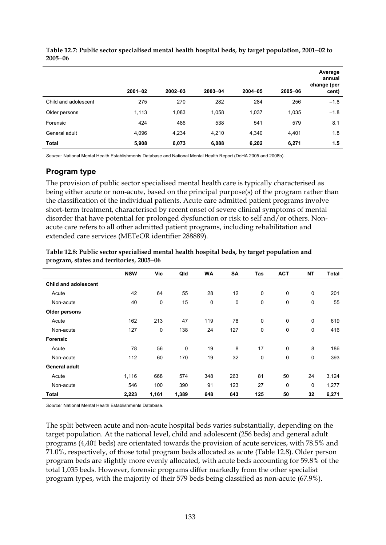|                      | $2001 - 02$ | $2002 - 03$ | 2003-04 | 2004-05 | 2005-06 | Average<br>annual<br>change (per<br>cent) |
|----------------------|-------------|-------------|---------|---------|---------|-------------------------------------------|
| Child and adolescent | 275         | 270         | 282     | 284     | 256     | $-1.8$                                    |
| Older persons        | 1,113       | 1,083       | 1,058   | 1,037   | 1,035   | $-1.8$                                    |
| Forensic             | 424         | 486         | 538     | 541     | 579     | 8.1                                       |
| General adult        | 4,096       | 4,234       | 4,210   | 4,340   | 4,401   | 1.8                                       |
| Total                | 5,908       | 6,073       | 6,088   | 6,202   | 6,271   | 1.5                                       |

**Table 12.7: Public sector specialised mental health hospital beds, by target population, 2001**−**02 to 2005**−**06** 

*Source:* National Mental Health Establishments Database and National Mental Health Report (DoHA 2005 and 2008b).

## **Program type**

The provision of public sector specialised mental health care is typically characterised as being either acute or non-acute, based on the principal purpose(s) of the program rather than the classification of the individual patients. Acute care admitted patient programs involve short-term treatment, characterised by recent onset of severe clinical symptoms of mental disorder that have potential for prolonged dysfunction or risk to self and/or others. Nonacute care refers to all other admitted patient programs, including rehabilitation and extended care services (METeOR identifier 288889).

|                             | <b>NSW</b> | Vic         | Qld         | <b>WA</b>   | <b>SA</b> | Tas | <b>ACT</b>  | NΤ | <b>Total</b> |
|-----------------------------|------------|-------------|-------------|-------------|-----------|-----|-------------|----|--------------|
| <b>Child and adolescent</b> |            |             |             |             |           |     |             |    |              |
| Acute                       | 42         | 64          | 55          | 28          | 12        | 0   | $\mathbf 0$ | 0  | 201          |
| Non-acute                   | 40         | 0           | 15          | $\mathbf 0$ | 0         | 0   | $\mathbf 0$ | 0  | 55           |
| Older persons               |            |             |             |             |           |     |             |    |              |
| Acute                       | 162        | 213         | 47          | 119         | 78        | 0   | $\mathbf 0$ | 0  | 619          |
| Non-acute                   | 127        | $\mathbf 0$ | 138         | 24          | 127       | 0   | $\mathbf 0$ | 0  | 416          |
| <b>Forensic</b>             |            |             |             |             |           |     |             |    |              |
| Acute                       | 78         | 56          | $\mathbf 0$ | 19          | 8         | 17  | $\mathbf 0$ | 8  | 186          |
| Non-acute                   | 112        | 60          | 170         | 19          | 32        | 0   | $\mathbf 0$ | 0  | 393          |
| <b>General adult</b>        |            |             |             |             |           |     |             |    |              |
| Acute                       | 1,116      | 668         | 574         | 348         | 263       | 81  | 50          | 24 | 3,124        |
| Non-acute                   | 546        | 100         | 390         | 91          | 123       | 27  | 0           | 0  | 1,277        |
| Total                       | 2,223      | 1,161       | 1,389       | 648         | 643       | 125 | 50          | 32 | 6,271        |

| Table 12.8: Public sector specialised mental health hospital beds, by target population and |
|---------------------------------------------------------------------------------------------|
| program, states and territories, 2005–06                                                    |

*Source:* National Mental Health Establishments Database.

The split between acute and non-acute hospital beds varies substantially, depending on the target population. At the national level, child and adolescent (256 beds) and general adult programs (4,401 beds) are orientated towards the provision of acute services, with 78.5% and 71.0%, respectively, of those total program beds allocated as acute (Table 12.8). Older person program beds are slightly more evenly allocated, with acute beds accounting for 59.8% of the total 1,035 beds. However, forensic programs differ markedly from the other specialist program types, with the majority of their 579 beds being classified as non-acute (67.9%).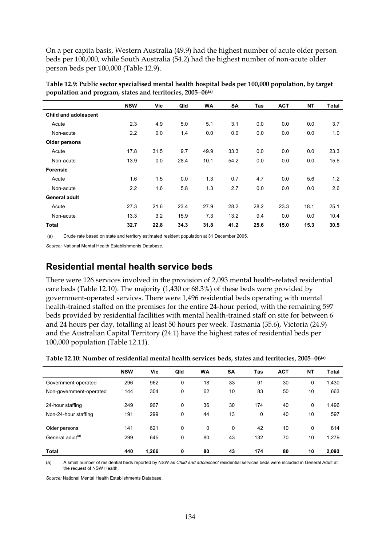On a per capita basis, Western Australia (49.9) had the highest number of acute older person beds per 100,000, while South Australia (54.2) had the highest number of non-acute older person beds per 100,000 (Table 12.9).

|                      | <b>NSW</b> | Vic  | Qld  | <b>WA</b> | <b>SA</b> | Tas  | <b>ACT</b> | <b>NT</b> | Total |
|----------------------|------------|------|------|-----------|-----------|------|------------|-----------|-------|
| Child and adolescent |            |      |      |           |           |      |            |           |       |
| Acute                | 2.3        | 4.9  | 5.0  | 5.1       | 3.1       | 0.0  | 0.0        | 0.0       | 3.7   |
| Non-acute            | 2.2        | 0.0  | 1.4  | 0.0       | 0.0       | 0.0  | 0.0        | 0.0       | 1.0   |
| Older persons        |            |      |      |           |           |      |            |           |       |
| Acute                | 17.8       | 31.5 | 9.7  | 49.9      | 33.3      | 0.0  | 0.0        | 0.0       | 23.3  |
| Non-acute            | 13.9       | 0.0  | 28.4 | 10.1      | 54.2      | 0.0  | 0.0        | 0.0       | 15.6  |
| <b>Forensic</b>      |            |      |      |           |           |      |            |           |       |
| Acute                | 1.6        | 1.5  | 0.0  | 1.3       | 0.7       | 4.7  | 0.0        | 5.6       | 1.2   |
| Non-acute            | 2.2        | 1.6  | 5.8  | 1.3       | 2.7       | 0.0  | 0.0        | 0.0       | 2.6   |
| General adult        |            |      |      |           |           |      |            |           |       |
| Acute                | 27.3       | 21.6 | 23.4 | 27.9      | 28.2      | 28.2 | 23.3       | 18.1      | 25.1  |
| Non-acute            | 13.3       | 3.2  | 15.9 | 7.3       | 13.2      | 9.4  | 0.0        | 0.0       | 10.4  |
| Total                | 32.7       | 22.8 | 34.3 | 31.8      | 41.2      | 25.6 | 15.0       | 15.3      | 30.5  |

**Table 12.9: Public sector specialised mental health hospital beds per 100,000 population, by target population and program, states and territories, 2005**−**06(a)** 

(a) Crude rate based on state and territory estimated resident population at 31 December 2005.

*Source:* National Mental Health Establishments Database.

## **Residential mental health service beds**

There were 126 services involved in the provision of 2,093 mental health-related residential care beds (Table 12.10). The majority (1,430 or 68.3%) of these beds were provided by government-operated services. There were 1,496 residential beds operating with mental health-trained staffed on the premises for the entire 24-hour period, with the remaining 597 beds provided by residential facilities with mental health-trained staff on site for between 6 and 24 hours per day, totalling at least 50 hours per week. Tasmania (35.6), Victoria (24.9) and the Australian Capital Territory (24.1) have the highest rates of residential beds per 100,000 population (Table 12.11).

|                              | <b>NSW</b> | Vic   | Qld | <b>WA</b>    | <b>SA</b>    | Tas | <b>ACT</b> | <b>NT</b> | <b>Total</b> |
|------------------------------|------------|-------|-----|--------------|--------------|-----|------------|-----------|--------------|
| Government-operated          | 296        | 962   | 0   | 18           | 33           | 91  | 30         | 0         | 1,430        |
| Non-government-operated      | 144        | 304   | 0   | 62           | 10           | 83  | 50         | 10        | 663          |
| 24-hour staffing             | 249        | 967   | 0   | 36           | 30           | 174 | 40         | 0         | 1,496        |
| Non-24-hour staffing         | 191        | 299   | 0   | 44           | 13           | 0   | 40         | 10        | 597          |
| Older persons                | 141        | 621   | 0   | $\mathbf{0}$ | $\mathbf{0}$ | 42  | 10         | 0         | 814          |
| General adult <sup>(a)</sup> | 299        | 645   | 0   | 80           | 43           | 132 | 70         | 10        | 1,279        |
| Total                        | 440        | 1,266 | 0   | 80           | 43           | 174 | 80         | 10        | 2,093        |

(a) A small number of residential beds reported by NSW as *Child and adolescent* residential services beds were included in General Adult at the request of NSW Health.

*Source:* National Mental Health Establishments Database.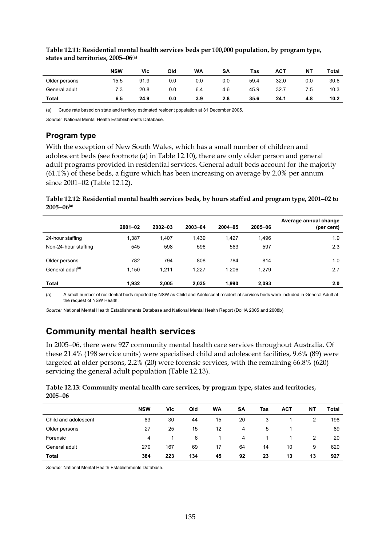|               | <b>NSW</b> | Vic  | Qld | <b>WA</b> | SA  | Tas  | <b>ACT</b> | <b>NT</b> | Total |
|---------------|------------|------|-----|-----------|-----|------|------------|-----------|-------|
| Older persons | 15.5       | 91.9 | 0.0 | 0.0       | 0.0 | 59.4 | 32.0       | 0.0       | 30.6  |
| General adult | 7.3        | 20.8 | 0.0 | 6.4       | 4.6 | 45.9 | 32.7       | 7.5       | 10.3  |
| <b>Total</b>  | 6.5        | 24.9 | 0.0 | 3.9       | 2.8 | 35.6 | 24.1       | 4.8       | 10.2  |

### **Table 12.11: Residential mental health services beds per 100,000 population, by program type, states and territories, 2005**−**06(a)**

(a) Crude rate based on state and territory estimated resident population at 31 December 2005.

*Source:* National Mental Health Establishments Database.

## **Program type**

With the exception of New South Wales, which has a small number of children and adolescent beds (see footnote (a) in Table 12.10), there are only older person and general adult programs provided in residential services. General adult beds account for the majority (61.1%) of these beds, a figure which has been increasing on average by 2.0% per annum since 2001−02 (Table 12.12).

### **Table 12.12: Residential mental health services beds, by hours staffed and program type, 2001**−**02 to 2005**−**06(a)**

|                              | $2001 - 02$ | $2002 - 03$ | 2003-04 | $2004 - 05$ | 2005-06 | Average annual change<br>(per cent) |
|------------------------------|-------------|-------------|---------|-------------|---------|-------------------------------------|
| 24-hour staffing             | 1,387       | 1.407       | 1,439   | 1,427       | 1,496   | 1.9                                 |
| Non-24-hour staffing         | 545         | 598         | 596     | 563         | 597     | 2.3                                 |
| Older persons                | 782         | 794         | 808     | 784         | 814     | 1.0                                 |
| General adult <sup>(a)</sup> | 1.150       | 1.211       | 1.227   | 1.206       | 1.279   | 2.7                                 |
| Total                        | 1,932       | 2.005       | 2,035   | 1.990       | 2,093   | 2.0                                 |

(a) A small number of residential beds reported by NSW as Child and Adolescent residential services beds were included in General Adult at the request of NSW Health.

*Source:* National Mental Health Establishments Database and National Mental Health Report (DoHA 2005 and 2008b).

## **Community mental health services**

In 2005−06, there were 927 community mental health care services throughout Australia. Of these 21.4% (198 service units) were specialised child and adolescent facilities, 9.6% (89) were targeted at older persons, 2.2% (20) were forensic services, with the remaining 66.8% (620) servicing the general adult population (Table 12.13).

### **Table 12.13: Community mental health care services, by program type, states and territories, 2005**−**06**

|                      | <b>NSW</b> | Vic | Qld | WA | SΑ | Tas | <b>ACT</b> | <b>NT</b> | Total |
|----------------------|------------|-----|-----|----|----|-----|------------|-----------|-------|
| Child and adolescent | 83         | 30  | 44  | 15 | 20 | 3   |            | 2         | 198   |
| Older persons        | 27         | 25  | 15  | 12 | 4  | 5   |            |           | 89    |
| Forensic             | 4          |     | 6   |    | 4  |     |            | 2         | 20    |
| General adult        | 270        | 167 | 69  | 17 | 64 | 14  | 10         | 9         | 620   |
| Total                | 384        | 223 | 134 | 45 | 92 | 23  | 13         | 13        | 927   |

*Source:* National Mental Health Establishments Database.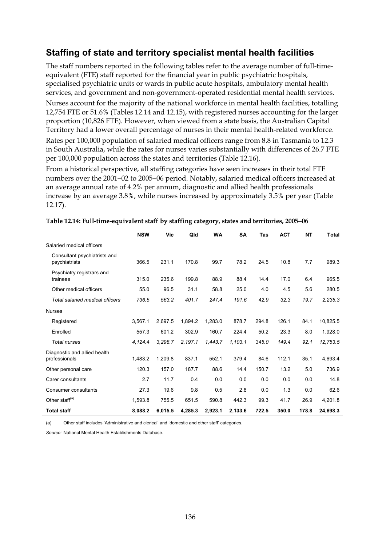## **Staffing of state and territory specialist mental health facilities**

The staff numbers reported in the following tables refer to the average number of full-timeequivalent (FTE) staff reported for the financial year in public psychiatric hospitals, specialised psychiatric units or wards in public acute hospitals, ambulatory mental health services, and government and non-government-operated residential mental health services.

Nurses account for the majority of the national workforce in mental health facilities, totalling 12,754 FTE or 51.6% (Tables 12.14 and 12.15), with registered nurses accounting for the larger proportion (10,826 FTE). However, when viewed from a state basis, the Australian Capital Territory had a lower overall percentage of nurses in their mental health-related workforce.

Rates per 100,000 population of salaried medical officers range from 8.8 in Tasmania to 12.3 in South Australia, while the rates for nurses varies substantially with differences of 26.7 FTE per 100,000 population across the states and territories (Table 12.16).

From a historical perspective, all staffing categories have seen increases in their total FTE numbers over the 2001−02 to 2005−06 period. Notably, salaried medical officers increased at an average annual rate of 4.2% per annum, diagnostic and allied health professionals increase by an average 3.8%, while nurses increased by approximately 3.5% per year (Table 12.17).

|                                               | <b>NSW</b> | Vic     | Qld     | <b>WA</b> | <b>SA</b> | Tas   | <b>ACT</b> | NΤ    | <b>Total</b> |
|-----------------------------------------------|------------|---------|---------|-----------|-----------|-------|------------|-------|--------------|
| Salaried medical officers                     |            |         |         |           |           |       |            |       |              |
| Consultant psychiatrists and<br>psychiatrists | 366.5      | 231.1   | 170.8   | 99.7      | 78.2      | 24.5  | 10.8       | 7.7   | 989.3        |
| Psychiatry registrars and<br>trainees         | 315.0      | 235.6   | 199.8   | 88.9      | 88.4      | 14.4  | 17.0       | 6.4   | 965.5        |
| Other medical officers                        | 55.0       | 96.5    | 31.1    | 58.8      | 25.0      | 4.0   | 4.5        | 5.6   | 280.5        |
| <b>Total salaried medical officers</b>        | 736.5      | 563.2   | 401.7   | 247.4     | 191.6     | 42.9  | 32.3       | 19.7  | 2,235.3      |
| <b>Nurses</b>                                 |            |         |         |           |           |       |            |       |              |
| Registered                                    | 3,567.1    | 2,697.5 | 1,894.2 | 1,283.0   | 878.7     | 294.8 | 126.1      | 84.1  | 10,825.5     |
| Enrolled                                      | 557.3      | 601.2   | 302.9   | 160.7     | 224.4     | 50.2  | 23.3       | 8.0   | 1,928.0      |
| <b>Total nurses</b>                           | 4,124.4    | 3,298.7 | 2,197.1 | 1,443.7   | 1,103.1   | 345.0 | 149.4      | 92.1  | 12,753.5     |
| Diagnostic and allied health                  |            |         |         |           |           |       |            |       |              |
| professionals                                 | 1,483.2    | 1,209.8 | 837.1   | 552.1     | 379.4     | 84.6  | 112.1      | 35.1  | 4,693.4      |
| Other personal care                           | 120.3      | 157.0   | 187.7   | 88.6      | 14.4      | 150.7 | 13.2       | 5.0   | 736.9        |
| Carer consultants                             | 2.7        | 11.7    | 0.4     | 0.0       | 0.0       | 0.0   | 0.0        | 0.0   | 14.8         |
| <b>Consumer consultants</b>                   | 27.3       | 19.6    | 9.8     | 0.5       | 2.8       | 0.0   | 1.3        | 0.0   | 62.6         |
| Other staff <sup>(a)</sup>                    | 1.593.8    | 755.5   | 651.5   | 590.8     | 442.3     | 99.3  | 41.7       | 26.9  | 4,201.8      |
| <b>Total staff</b>                            | 8.088.2    | 6,015.5 | 4,285.3 | 2,923.1   | 2.133.6   | 722.5 | 350.0      | 178.8 | 24,698.3     |

**Table 12.14: Full-time-equivalent staff by staffing category, states and territories, 2005**−**06** 

(a) Other staff includes 'Administrative and clerical' and 'domestic and other staff' categories.

*Source:* National Mental Health Establishments Database.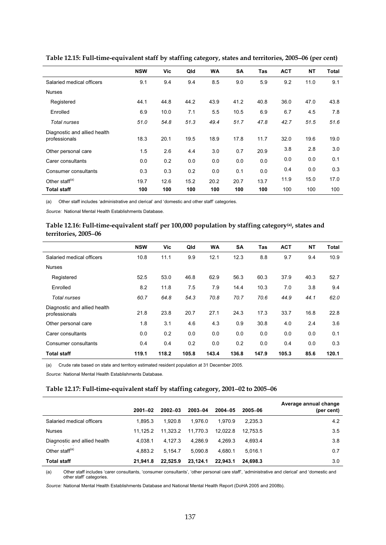|                                               | <b>NSW</b> | Vic  | Qld  | <b>WA</b> | <b>SA</b> | Tas  | <b>ACT</b> | ΝT   | Total |
|-----------------------------------------------|------------|------|------|-----------|-----------|------|------------|------|-------|
| Salaried medical officers                     | 9.1        | 9.4  | 9.4  | 8.5       | 9.0       | 5.9  | 9.2        | 11.0 | 9.1   |
| <b>Nurses</b>                                 |            |      |      |           |           |      |            |      |       |
| Registered                                    | 44.1       | 44.8 | 44.2 | 43.9      | 41.2      | 40.8 | 36.0       | 47.0 | 43.8  |
| Enrolled                                      | 6.9        | 10.0 | 7.1  | 5.5       | 10.5      | 6.9  | 6.7        | 4.5  | 7.8   |
| Total nurses                                  | 51.0       | 54.8 | 51.3 | 49.4      | 51.7      | 47.8 | 42.7       | 51.5 | 51.6  |
| Diagnostic and allied health<br>professionals | 18.3       | 20.1 | 19.5 | 18.9      | 17.8      | 11.7 | 32.0       | 19.6 | 19.0  |
| Other personal care                           | 1.5        | 2.6  | 4.4  | 3.0       | 0.7       | 20.9 | 3.8        | 2.8  | 3.0   |
| Carer consultants                             | 0.0        | 0.2  | 0.0  | 0.0       | 0.0       | 0.0  | 0.0        | 0.0  | 0.1   |
| Consumer consultants                          | 0.3        | 0.3  | 0.2  | 0.0       | 0.1       | 0.0  | 0.4        | 0.0  | 0.3   |
| Other staff <sup>(a)</sup>                    | 19.7       | 12.6 | 15.2 | 20.2      | 20.7      | 13.7 | 11.9       | 15.0 | 17.0  |
| <b>Total staff</b>                            | 100        | 100  | 100  | 100       | 100       | 100  | 100        | 100  | 100   |

**Table 12.15: Full-time-equivalent staff by staffing category, states and territories, 2005**−**06 (per cent)** 

(a) Other staff includes 'administrative and clerical' and 'domestic and other staff' categories.

*Source:* National Mental Health Establishments Database.

#### **Table 12.16: Full-time-equivalent staff per 100,000 population by staffing category(a), states and territories, 2005**−**06**

|                                               | <b>NSW</b> | Vic   | Qld   | <b>WA</b> | <b>SA</b> | Tas   | <b>ACT</b> | <b>NT</b> | <b>Total</b> |
|-----------------------------------------------|------------|-------|-------|-----------|-----------|-------|------------|-----------|--------------|
| Salaried medical officers                     | 10.8       | 11.1  | 9.9   | 12.1      | 12.3      | 8.8   | 9.7        | 9.4       | 10.9         |
| <b>Nurses</b>                                 |            |       |       |           |           |       |            |           |              |
| Registered                                    | 52.5       | 53.0  | 46.8  | 62.9      | 56.3      | 60.3  | 37.9       | 40.3      | 52.7         |
| Enrolled                                      | 8.2        | 11.8  | 7.5   | 7.9       | 14.4      | 10.3  | 7.0        | 3.8       | 9.4          |
| Total nurses                                  | 60.7       | 64.8  | 54.3  | 70.8      | 70.7      | 70.6  | 44.9       | 44.1      | 62.0         |
| Diagnostic and allied health<br>professionals | 21.8       | 23.8  | 20.7  | 27.1      | 24.3      | 17.3  | 33.7       | 16.8      | 22.8         |
| Other personal care                           | 1.8        | 3.1   | 4.6   | 4.3       | 0.9       | 30.8  | 4.0        | 2.4       | 3.6          |
| Carer consultants                             | 0.0        | 0.2   | 0.0   | 0.0       | 0.0       | 0.0   | 0.0        | 0.0       | 0.1          |
| Consumer consultants                          | 0.4        | 0.4   | 0.2   | 0.0       | 0.2       | 0.0   | 0.4        | 0.0       | 0.3          |
| <b>Total staff</b>                            | 119.1      | 118.2 | 105.8 | 143.4     | 136.8     | 147.9 | 105.3      | 85.6      | 120.1        |

(a) Crude rate based on state and territory estimated resident population at 31 December 2005.

*Source:* National Mental Health Establishments Database.

### **Table 12.17: Full-time-equivalent staff by staffing category, 2001**−**02 to 2005**−**06**

|                              | $2001 - 02$ | $2002 - 03$ | 2003-04  | $2004 - 05$ | 2005-06  | Average annual change<br>(per cent) |
|------------------------------|-------------|-------------|----------|-------------|----------|-------------------------------------|
| Salaried medical officers    | 1.895.3     | 1.920.8     | 1.976.0  | 1.970.9     | 2.235.3  | 4.2                                 |
| <b>Nurses</b>                | 11.125.2    | 11.323.2    | 11.770.3 | 12.022.8    | 12.753.5 | 3.5                                 |
| Diagnostic and allied health | 4.038.1     | 4.127.3     | 4.286.9  | 4.269.3     | 4.693.4  | 3.8                                 |
| Other staff $(a)$            | 4.883.2     | 5.154.7     | 5.090.8  | 4.680.1     | 5.016.1  | 0.7                                 |
| <b>Total staff</b>           | 21.941.8    | 22.525.9    | 23.124.1 | 22.943.1    | 24.698.3 | 3.0                                 |

(a) Other staff includes 'carer consultants, 'consumer consultants', 'other personal care staff', 'administrative and clerical' and 'domestic and other staff' categories.

*Source:* National Mental Health Establishments Database and National Mental Health Report (DoHA 2005 and 2008b).